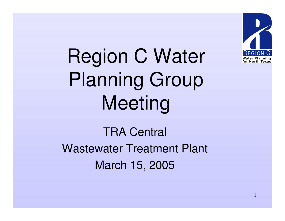

Region C Water Planning Group Meeting

TRA Central Wastewater Treatment Plant March 15, 2005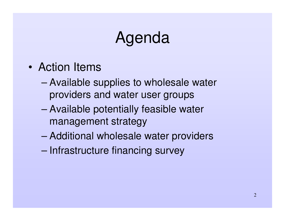# Agenda

- Action Items
	- – Available supplies to wholesale water providers and water user groups
	- – Available potentially feasible water management strategy
	- –Additional wholesale water providers
	- –– Infrastructure financing survey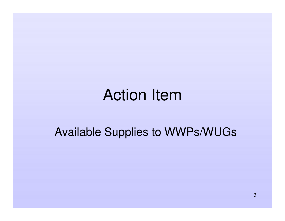#### Action Item

Available Supplies to WWPs/WUGs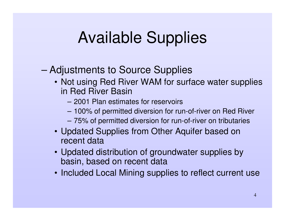# Available Supplies

#### –Adjustments to Source Supplies

- Not using Red River WAM for surface water supplies in Red River Basin
	- 2001 Plan estimates for reservoirs
	- 100% of permitted diversion for run-of-river on Red River
	- 75% of permitted diversion for run-of-river on tributaries
- Updated Supplies from Other Aquifer based on recent data
- Updated distribution of groundwater supplies by basin, based on recent data
- Included Local Mining supplies to reflect current use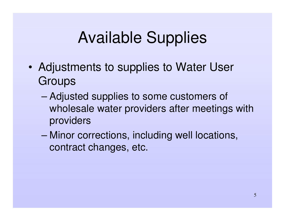# Available Supplies

- • Adjustments to supplies to Water User **Groups** 
	- – Adjusted supplies to some customers of wholesale water providers after meetings with providers
	- – Minor corrections, including well locations, contract changes, etc.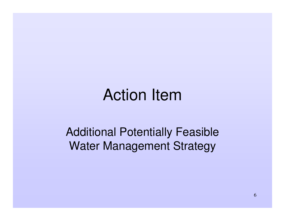### Action Item

Additional Potentially Feasible Water Management Strategy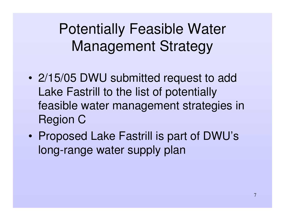Potentially Feasible Water Management Strategy

- 2/15/05 DWU submitted request to add Lake Fastrill to the list of potentially feasible water management strategies in Region C
- $\bullet$  Proposed Lake Fastrill is part of DWU's long-range water supply plan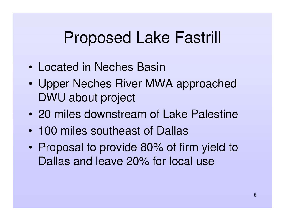### Proposed Lake Fastrill

- Located in Neches Basin
- • Upper Neches River MWA approached DWU about project
- 20 miles downstream of Lake Palestine
- 100 miles southeast of Dallas
- $\bullet$  Proposal to provide 80% of firm yield to Dallas and leave 20% for local use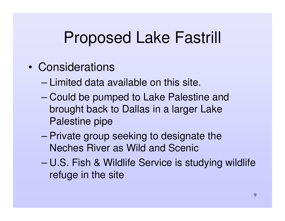## Proposed Lake Fastrill

- Considerations
	- Limited data available on this site.
	- – Could be pumped to Lake Palestine and brought back to Dallas in <sup>a</sup> larger Lake Palestine pipe
	- – Private group seeking to designate the Neches River as Wild and Scenic
	- U.S. Fish & Wildlife Service is studying wildlife refuge in the site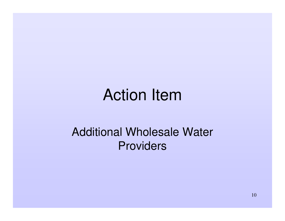## Action Item

#### Additional Wholesale Water **Providers**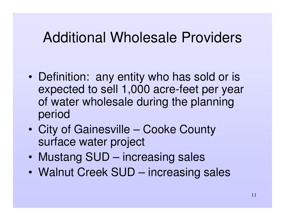#### Additional Wholesale Providers

- • Definition: any entity who has sold or is expected to sell 1,000 acre-feet per year of water wholesale during the planning period
- $\bullet$  City of Gainesville – Cooke County surface water project
- •Mustang SUD – increasing sales
- Walnut Creek SUD increasing sales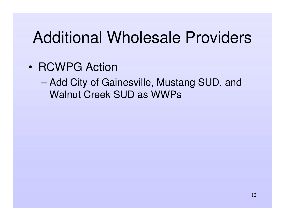# Additional Wholesale Providers

- RCWPG Action
	- – Add City of Gainesville, Mustang SUD, and Walnut Creek SUD as WWPs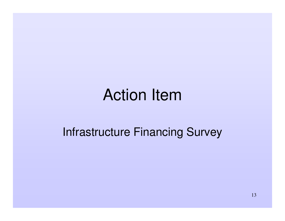### Action Item

#### Infrastructure Financing Survey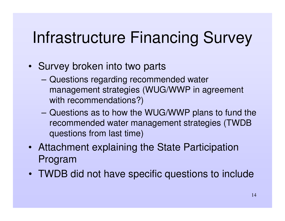# Infrastructure Financing Survey

- Survey broken into two parts
	- **Harry Committee**  Questions regarding recommended water management strategies (WUG/WWP in agreement with recommendations?)
	- **However, Marketing Committee**  Questions as to how the WUG/WWP plans to fund the recommended water management strategies (TWDB questions from last time)
- Attachment explaining the State Participation Program
- TWDB did not have specific questions to include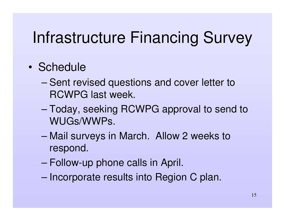# Infrastructure Financing Survey

#### • Schedule

- –– Sent revised questions and cover letter to RCWPG last week.
- – Today, seeking RCWPG approval to send to WUGs/WWPs.
- – Mail surveys in March. Allow 2 weeks to respond.
- –Follow-up phone calls in April.
- –– Incorporate results into Region C plan.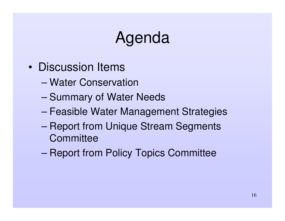# Agenda

- Discussion Items
	- Water Conservation
	- –– Summary of Water Needs
	- –Feasible Water Management Strategies
	- – Report from Unique Stream Segments **Committee**
	- –Report from Policy Topics Committee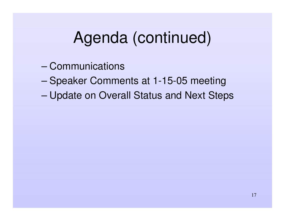# Agenda (continued)

- Communications
- –– Speaker Comments at 1-15-05 meeting
- –Update on Overall Status and Next Steps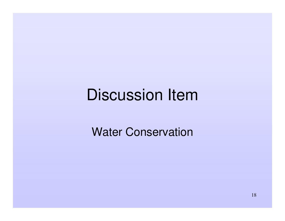## Discussion Item

Water Conservation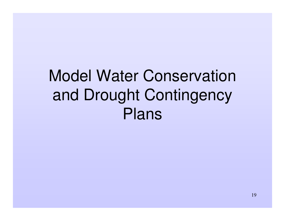Model Water Conservation and Drought Contingency Plans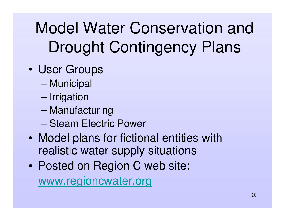# Model Water Conservation and Drought Contingency Plans

- • User Groups
	- –– Municipal
	- –– Irrigation
	- –Manufacturing
	- Steam Electric Power
- • Model plans for fictional entities with realistic water supply situations
- $\bullet$  Posted on Region C web site: www.regioncwater.org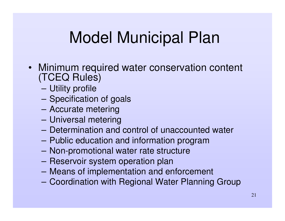- Minimum required water conservation content (TCEQ Rules)
	- –Utility profile
	- **Harry Committee** – Specification of goals
	- **Hart Committee Committee** Accurate metering
	- –Universal metering
	- Determination and control of unaccounted water
	- **However, Marketing Committee** Public education and information program
	- –Non-promotional water rate structure
	- **Harry Committee** – Reservoir system operation plan
	- **However, Marketing Committee** Means of implementation and enforcement
	- –Coordination with Regional Water Planning Group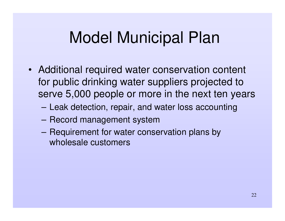- Additional required water conservation content for public drinking water suppliers projected to serve 5,000 people or more in the next ten years
	- –Leak detection, repair, and water loss accounting
	- **Harry Committee**  $-$  Record management system
	- –- Requirement for water conservation plans by wholesale customers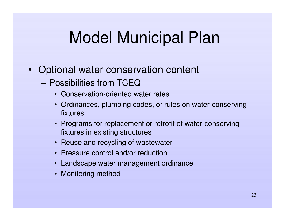- Optional water conservation content
	- Possibilities from TCEQ
		- Conservation-oriented water rates
		- Ordinances, plumbing codes, or rules on water-conserving fixtures
		- Programs for replacement or retrofit of water-conserving fixtures in existing structures
		- Reuse and recycling of wastewater
		- Pressure control and/or reduction
		- Landscape water management ordinance
		- Monitoring method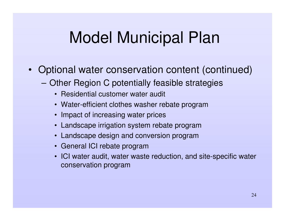- Optional water conservation content (continued)
	- **Hart Committee Committee**  Other Region C potentially feasible strategies
		- Residential customer water audit
		- Water-efficient clothes washer rebate program
		- Impact of increasing water prices
		- Landscape irrigation system rebate program
		- Landscape design and conversion program
		- General ICI rebate program
		- ICI water audit, water waste reduction, and site-specific water conservation program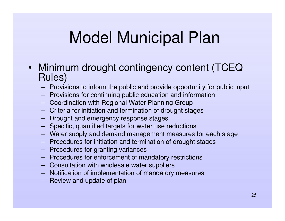- Minimum drought contingency content (TCEQ Rules)
	- Provisions to inform the public and provide opportunity for public input
	- Provisions for continuing public education and information
	- Coordination with Regional Water Planning Group
	- Criteria for initiation and termination of drought stages
	- Drought and emergency response stages
	- Specific, quantified targets for water use reductions
	- Water supply and demand management measures for each stage
	- Procedures for initiation and termination of drought stages
	- Procedures for granting variances
	- Procedures for enforcement of mandatory restrictions
	- Consultation with wholesale water suppliers
	- Notification of implementation of mandatory measures
	- Review and update of plan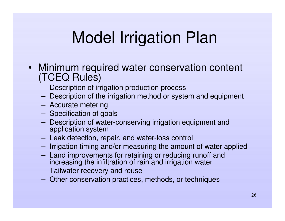# Model Irrigation Plan

- Minimum required water conservation content (TCEQ Rules)
	- **Hart Committee** Description of irrigation production process
	- **Harry Committee** Description of the irrigation method or system and equipment
	- **Harry Committee** Accurate metering
	- **Harry Committee** – Specification of goals
	- **Harry Committee**  Description of water-conserving irrigation equipment and application system
	- – $-$  Leak detection, repair, and water-loss control
	- – $-$  Irrigation timing and/or measuring the amount of water applied
	- – Land improvements for retaining or reducing runoff and increasing the infiltration of rain and irrigation water
	- and the state of the state of Tailwater recovery and reuse
	- and the contract of the contract of Other conservation practices, methods, or techniques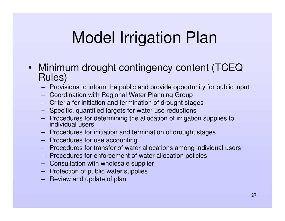# Model Irrigation Plan

- Minimum drought contingency content (TCEQ Rules)
	- Provisions to inform the public and provide opportunity for public input
	- Coordination with Regional Water Planning Group
	- Criteria for initiation and termination of drought stages
	- Specific, quantified targets for water use reductions
	- Procedures for determining the allocation of irrigation supplies to individual users
	- Procedures for initiation and termination of drought stages
	- Procedures for use accounting
	- Procedures for transfer of water allocations among individual users
	- Procedures for enforcement of water allocation policies
	- Consultation with wholesale supplier
	- Protection of public water supplies
	- Review and update of plan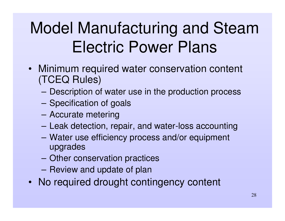# Model Manufacturing and Steam Electric Power Plans

- Minimum required water conservation content (TCEQ Rules)
	- **Harry Committee** Description of water use in the production process
	- **Hart Committee Committee** – Specification of goals
	- **However, Marketing Committee** Accurate metering
	- **Harry Committee** Leak detection, repair, and water-loss accounting
	- – Water use efficiency process and/or equipment upgrades
	- **However, Marketing Committee** Other conservation practices
	- Review and update of plan
- No required drought contingency content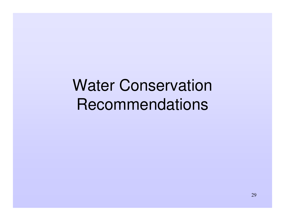# Water Conservation **Recommendations**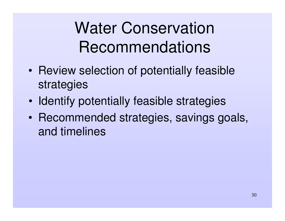# Water Conservation Recommendations

- Review selection of potentially feasible strategies
- •• Identify potentially feasible strategies
- •• Recommended strategies, savings goals, and timelines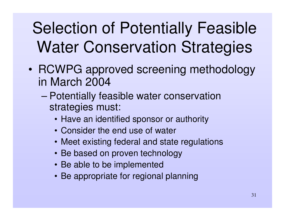# Selection of Potentially Feasible Water Conservation Strategies

- RCWPG approved screening methodology in March 2004
	- – Potentially feasible water conservation strategies must:
		- Have an identified sponsor or authority
		- Consider the end use of water
		- Meet existing federal and state regulations
		- Be based on proven technology
		- Be able to be implemented
		- Be appropriate for regional planning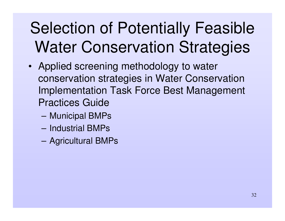# Selection of Potentially Feasible Water Conservation Strategies

- Applied screening methodology to water conservation strategies in Water Conservation Implementation Task Force Best Management Practices Guide
	- –— Municipal BMPs
	- Industrial BMPs
	- –Agricultural BMPs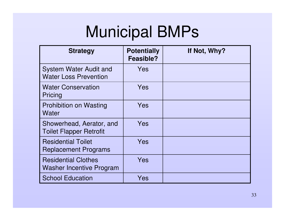| <b>Strategy</b>                                               | <b>Potentially</b><br>Feasible? | If Not, Why? |
|---------------------------------------------------------------|---------------------------------|--------------|
| <b>System Water Audit and</b><br><b>Water Loss Prevention</b> | Yes                             |              |
| <b>Water Conservation</b><br>Pricing                          | Yes                             |              |
| <b>Prohibition on Wasting</b><br><b>Water</b>                 | Yes                             |              |
| Showerhead, Aerator, and<br><b>Toilet Flapper Retrofit</b>    | Yes                             |              |
| <b>Residential Toilet</b><br><b>Replacement Programs</b>      | Yes                             |              |
| <b>Residential Clothes</b><br><b>Washer Incentive Program</b> | Yes                             |              |
| <b>School Education</b>                                       | Yes                             |              |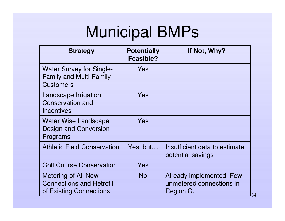| <b>Strategy</b>                                                                          | <b>Potentially</b><br>Feasible? | If Not, Why?                                                      |
|------------------------------------------------------------------------------------------|---------------------------------|-------------------------------------------------------------------|
| <b>Water Survey for Single-</b><br><b>Family and Multi-Family</b><br><b>Customers</b>    | Yes                             |                                                                   |
| Landscape Irrigation<br><b>Conservation and</b><br>Incentives                            | Yes                             |                                                                   |
| Water Wise Landscape<br><b>Design and Conversion</b><br>Programs                         | Yes                             |                                                                   |
| <b>Athletic Field Conservation</b>                                                       | Yes, but                        | Insufficient data to estimate<br>potential savings                |
| <b>Golf Course Conservation</b>                                                          | Yes                             |                                                                   |
| <b>Metering of All New</b><br><b>Connections and Retrofit</b><br>of Existing Connections | <b>No</b>                       | Already implemented. Few<br>unmetered connections in<br>Region C. |

34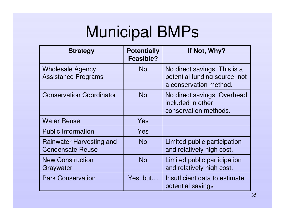| <b>Strategy</b>                                       | <b>Potentially</b><br>Feasible? | If Not, Why?                                                                            |
|-------------------------------------------------------|---------------------------------|-----------------------------------------------------------------------------------------|
| <b>Wholesale Agency</b><br><b>Assistance Programs</b> | <b>No</b>                       | No direct savings. This is a<br>potential funding source, not<br>a conservation method. |
| <b>Conservation Coordinator</b>                       | <b>No</b>                       | No direct savings. Overhead<br>included in other<br>conservation methods.               |
| <b>Water Reuse</b>                                    | Yes                             |                                                                                         |
| <b>Public Information</b>                             | Yes                             |                                                                                         |
| Rainwater Harvesting and<br><b>Condensate Reuse</b>   | No                              | Limited public participation<br>and relatively high cost.                               |
| <b>New Construction</b><br>Graywater                  | <b>No</b>                       | Limited public participation<br>and relatively high cost.                               |
| <b>Park Conservation</b>                              | Yes, but                        | Insufficient data to estimate<br>potential savings                                      |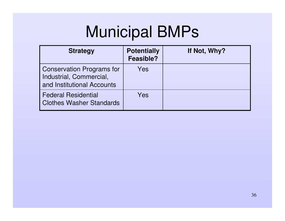| <b>Strategy</b>                                                                           | <b>Potentially</b><br><b>Feasible?</b> | If Not, Why? |
|-------------------------------------------------------------------------------------------|----------------------------------------|--------------|
| <b>Conservation Programs for</b><br>Industrial, Commercial,<br>and Institutional Accounts | Yes                                    |              |
| <b>Federal Residential</b><br><b>Clothes Washer Standards</b>                             | Yes                                    |              |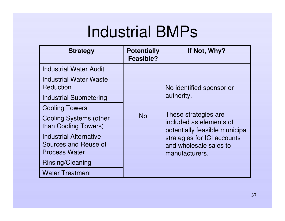## Industrial BMPs

| <b>Strategy</b>                                                               | <b>Potentially</b><br>Feasible? | If Not, Why?                                                                      |  |  |
|-------------------------------------------------------------------------------|---------------------------------|-----------------------------------------------------------------------------------|--|--|
| <b>Industrial Water Audit</b>                                                 |                                 |                                                                                   |  |  |
| Industrial Water Waste<br>Reduction                                           |                                 | No identified sponsor or                                                          |  |  |
| <b>Industrial Submetering</b>                                                 |                                 | authority.                                                                        |  |  |
| <b>Cooling Towers</b>                                                         |                                 |                                                                                   |  |  |
| <b>Cooling Systems (other</b><br>than Cooling Towers)                         | No                              | These strategies are<br>included as elements of<br>potentially feasible municipal |  |  |
| <b>Industrial Alternative</b><br>Sources and Reuse of<br><b>Process Water</b> |                                 | strategies for ICI accounts<br>and wholesale sales to<br>manufacturers.           |  |  |
| Rinsing/Cleaning                                                              |                                 |                                                                                   |  |  |
| <b>Water Treatment</b>                                                        |                                 |                                                                                   |  |  |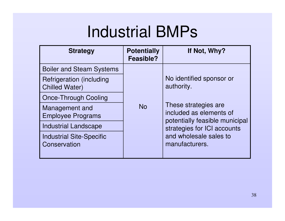# Industrial BMPs

| <b>Strategy</b>                                           | <b>Potentially</b><br>Feasible? | If Not, Why?                                                                      |  |  |
|-----------------------------------------------------------|---------------------------------|-----------------------------------------------------------------------------------|--|--|
| <b>Boiler and Steam Systems</b>                           |                                 |                                                                                   |  |  |
| <b>Refrigeration (including)</b><br><b>Chilled Water)</b> |                                 | No identified sponsor or<br>authority.                                            |  |  |
| <b>Once-Through Cooling</b>                               |                                 |                                                                                   |  |  |
| Management and<br><b>Employee Programs</b>                | <b>No</b>                       | These strategies are<br>included as elements of<br>potentially feasible municipal |  |  |
| <b>Industrial Landscape</b>                               |                                 | strategies for ICI accounts                                                       |  |  |
| <b>Industrial Site-Specific</b><br>Conservation           |                                 | and wholesale sales to<br>manufacturers.                                          |  |  |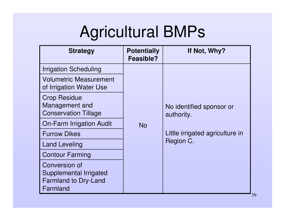| <b>Strategy</b>                                                                    | <b>Potentially</b><br><b>Feasible?</b> | If Not, Why?                           |  |  |
|------------------------------------------------------------------------------------|----------------------------------------|----------------------------------------|--|--|
| <b>Irrigation Scheduling</b>                                                       |                                        |                                        |  |  |
| <b>Volumetric Measurement</b><br>of Irrigation Water Use                           |                                        |                                        |  |  |
| <b>Crop Residue</b><br>Management and<br><b>Conservation Tillage</b>               |                                        | No identified sponsor or<br>authority. |  |  |
| <b>On-Farm Irrigation Audit</b>                                                    | <b>No</b>                              |                                        |  |  |
| <b>Furrow Dikes</b>                                                                |                                        | Little irrigated agriculture in        |  |  |
| <b>Land Leveling</b>                                                               |                                        | Region C.                              |  |  |
| <b>Contour Farming</b>                                                             |                                        |                                        |  |  |
| Conversion of<br>Supplemental Irrigated<br><b>Farmland to Dry-Land</b><br>Farmland |                                        |                                        |  |  |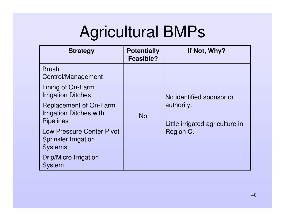| <b>Strategy</b>                                                                     | <b>Potentially</b><br>Feasible? | If Not, Why?                                  |  |  |
|-------------------------------------------------------------------------------------|---------------------------------|-----------------------------------------------|--|--|
| <b>Brush</b><br>Control/Management                                                  |                                 |                                               |  |  |
| Lining of On-Farm<br><b>Irrigation Ditches</b>                                      | <b>No</b>                       | No identified sponsor or                      |  |  |
| <b>Replacement of On-Farm</b><br><b>Irrigation Ditches with</b><br><b>Pipelines</b> |                                 | authority.<br>Little irrigated agriculture in |  |  |
| <b>Low Pressure Center Pivot</b><br><b>Sprinkler Irrigation</b><br><b>Systems</b>   |                                 | Region C.                                     |  |  |
| Drip/Micro Irrigation<br><b>System</b>                                              |                                 |                                               |  |  |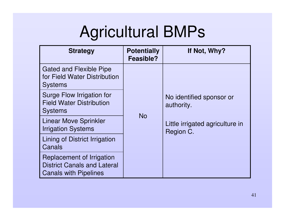| <b>Strategy</b>                                                                                 | <b>Potentially</b><br>Feasible? | If Not, Why?                                 |  |  |
|-------------------------------------------------------------------------------------------------|---------------------------------|----------------------------------------------|--|--|
| Gated and Flexible Pipe<br>for Field Water Distribution<br><b>Systems</b>                       | <b>No</b>                       |                                              |  |  |
| Surge Flow Irrigation for<br><b>Field Water Distribution</b><br><b>Systems</b>                  |                                 | No identified sponsor or<br>authority.       |  |  |
| <b>Linear Move Sprinkler</b><br><b>Irrigation Systems</b>                                       |                                 | Little irrigated agriculture in<br>Region C. |  |  |
| Lining of District Irrigation<br>Canals                                                         |                                 |                                              |  |  |
| Replacement of Irrigation<br><b>District Canals and Lateral</b><br><b>Canals with Pipelines</b> |                                 |                                              |  |  |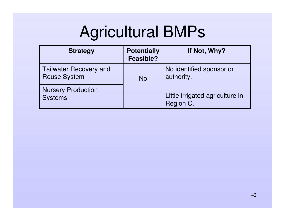| <b>Strategy</b>                                      | <b>Potentially</b><br><b>Feasible?</b> | If Not, Why?                                 |
|------------------------------------------------------|----------------------------------------|----------------------------------------------|
| <b>Tailwater Recovery and</b><br><b>Reuse System</b> | <b>No</b>                              | No identified sponsor or<br>authority.       |
| <b>Nursery Production</b><br><b>Systems</b>          |                                        | Little irrigated agriculture in<br>Region C. |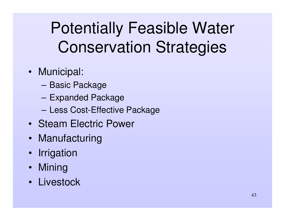# Potentially Feasible Water Conservation Strategies

- Municipal:
	- **Hart Committee Committee** – Basic Package
	- **Harry Committee** Expanded Package
	- **Hart Committee Committee** – Less Cost-Effective Package
- Steam Electric Power
- Manufacturing
- Irrigation
- Mining
- Livestock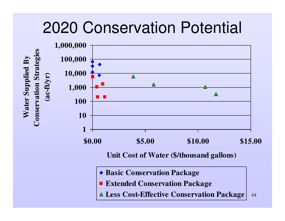### 2020 Conservation Potential



- **Extended Conservation Package**
- 44**Less Cost-Effective Conservation Package**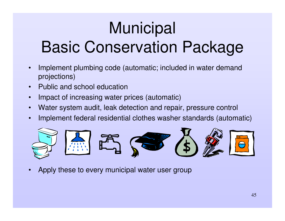# **Municipal**

# Basic Conservation Package

- • Implement plumbing code (automatic; included in water demand projections)
- •• Public and school education
- •Impact of increasing water prices (automatic)
- •Water system audit, leak detection and repair, pressure control
- •Implement federal residential clothes washer standards (automatic)



•Apply these to every municipal water user group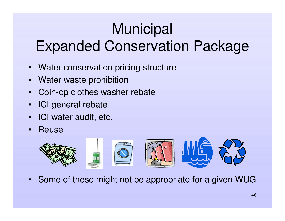# **Municipal**

### Expanded Conservation Package

- •Water conservation pricing structure
- •• Water waste prohibition
- •Coin-op clothes washer rebate
- •ICI general rebate
- $\bullet$ ICI water audit, etc.
- •• Reuse



•Some of these might not be appropriate for <sup>a</sup> given WUG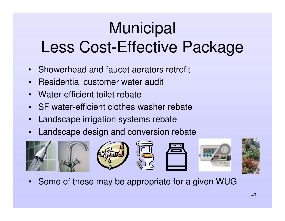# **Municipal** Less Cost-Effective Package

- Showerhead and faucet aerators retrofit
- •Residential customer water audit
- •Water-efficient toilet rebate
- •• SF water-efficient clothes washer rebate
- •Landscape irrigation systems rebate
- •Landscape design and conversion rebate



•Some of these may be appropriate for <sup>a</sup> given WUG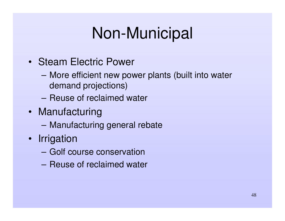# Non-Municipal

- Steam Electric Power
	- More efficient new power plants (built into water demand projections)
	- Reuse of reclaimed water
- Manufacturing
	- –Manufacturing general rebate
- Irrigation
	- Golf course conservation
	- Reuse of reclaimed water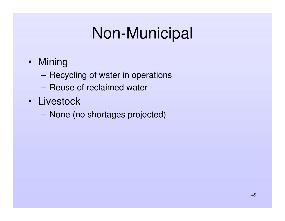# Non-Municipal

- Mining
	- **Harry Committee** – Recycling of water in operations
	- Reuse of reclaimed water
- Livestock
	- **Hart Committee Committee** None (no shortages projected)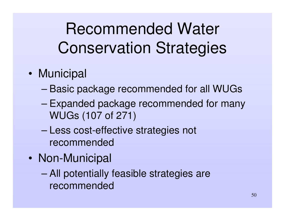# Recommended Water Conservation Strategies

- •• Municipal
	- –Basic package recommended for all WUGs
	- – Expanded package recommended for many WUGs (107 of 271)
	- – Less cost-effective strategies not recommended
- $\bullet$ • Non-Municipal
	- – All potentially feasible strategies are recommended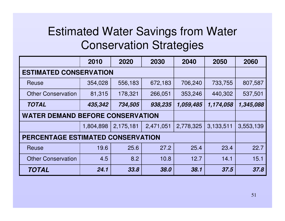#### Estimated Water Savings from Water Conservation Strategies

|                                          | 2010      | 2020      | 2030      | 2040      | 2050      | 2060      |
|------------------------------------------|-----------|-----------|-----------|-----------|-----------|-----------|
| <b>ESTIMATED CONSERVATION</b>            |           |           |           |           |           |           |
| Reuse                                    | 354,028   | 556,183   | 672,183   | 706,240   | 733,755   | 807,587   |
| <b>Other Conservation</b>                | 81,315    | 178,321   | 266,051   | 353,246   | 440,302   | 537,501   |
| <b>TOTAL</b>                             | 435,342   | 734,505   | 938,235   | 1,059,485 | 1,174,058 | 1,345,088 |
| <b>WATER DEMAND BEFORE CONSERVATION</b>  |           |           |           |           |           |           |
|                                          | 1,804,898 | 2,175,181 | 2,471,051 | 2,778,325 | 3,133,511 | 3,553,139 |
| <b>PERCENTAGE ESTIMATED CONSERVATION</b> |           |           |           |           |           |           |
| Reuse                                    | 19.6      | 25.6      | 27.2      | 25.4      | 23.4      | 22.7      |
| <b>Other Conservation</b>                | 4.5       | 8.2       | 10.8      | 12.7      | 14.1      | 15.1      |
| <b>TOTAL</b>                             | 24.1      | 33.8      | 38.0      | 38.1      | 37.5      | 37.8      |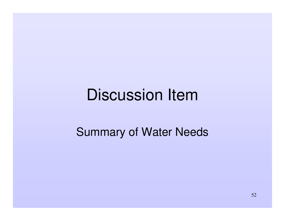### Discussion Item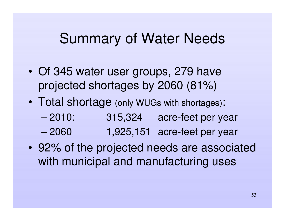- • Of 345 water user groups, 279 have projected shortages by 2060 (81%)
- $\bullet$  Total shortage (only WUGs with shortages):
	- $-2010$ : 315,324 acre-feet per year
	- –1,925,151 acre-feet per year
- 92% of the projected needs are associated with municipal and manufacturing uses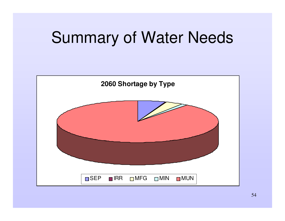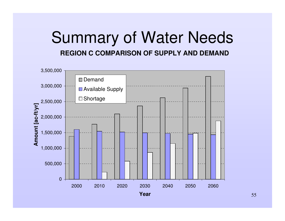#### Summary of Water Needs **REGION C COMPARISON OF SUPPLY AND DEMAND**

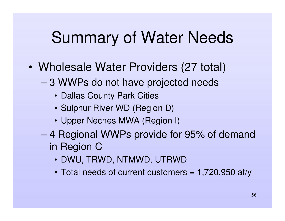- • Wholesale Water Providers (27 total)
	- – 3 WWPs do not have projected needs
		- Dallas County Park Cities
		- Sulphur River WD (Region D)
		- Upper Neches MWA (Region I)
	- – 4 Regional WWPs provide for 95% of demand in Region C
		- DWU, TRWD, NTMWD, UTRWD
		- Total needs of current customers <sup>=</sup> 1,720,950 af/y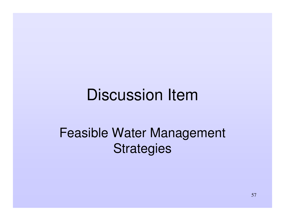### Discussion Item

#### Feasible Water Management **Strategies**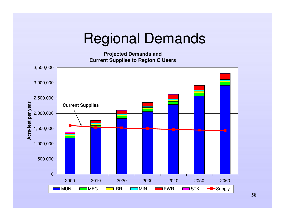#### Regional Demands

**Projected Demands and Current Supplies to Region C Users**



58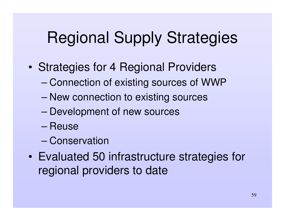# Regional Supply Strategies

- • Strategies for 4 Regional Providers
	- –Connection of existing sources of WWP
	- New connection to existing sources
	- –Development of new sources
	- Reuse
	- Conservation
- • Evaluated 50 infrastructure strategies for regional providers to date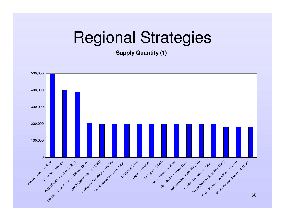**Supply Quantity (1)**

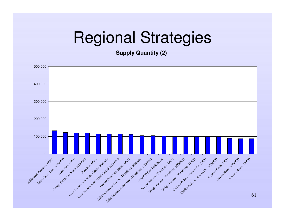**Supply Quantity (2)**

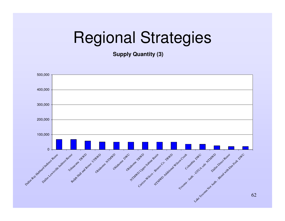**Supply Quantity (3)**

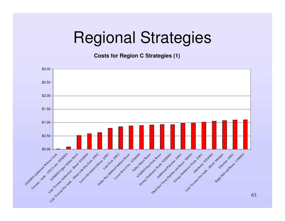**Costs for Region C Strategies (1)**

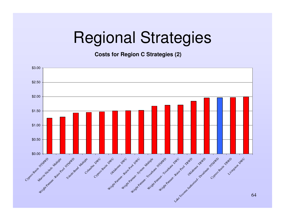**Costs for Region C Strategies (2)**

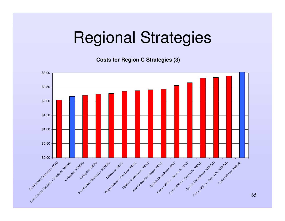**Costs for Region C Strategies (3)**

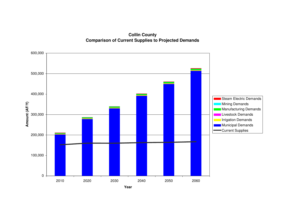**Collin County Comparison of Current Supplies to Projected Demands**

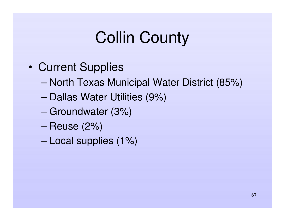- •• Current Supplies
	- –– North Texas Municipal Water District (85%)
	- –– Dallas Water Utilities (9%)
	- –Groundwater (3%)
	- –Reuse (2%)
	- –Local supplies (1%)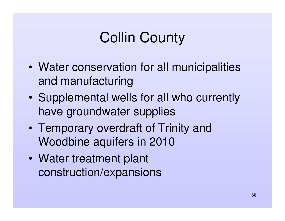- • Water conservation for all municipalities and manufacturing
- $\bullet$  Supplemental wells for all who currently have groundwater supplies
- $\bullet$  Temporary overdraft of Trinity and Woodbine aquifers in 2010
- $\bullet$  Water treatment plant construction/expansions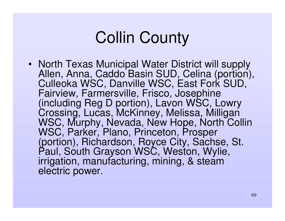• North Texas Municipal Water District will supply Allen, Anna, Caddo Basin SUD, Celina (portion), Culleoka WSC, Danville WSC, East Fork SUD, Fairview, Farmersville, Frisco, Josephine (including Reg D portion), Lavon WSC, Lowry Crossing, Lucas, McKinney, Melissa, Milligan WSC, Murphy, Nevada, New Hope, North Collin WSC, Parker, Plano, Princeton, Prosper (portion), Richardson, Royce City, Sachse, St. Paul, South Grayson WSC, Weston, Wylie, irrigation, manufacturing, mining, & steam electric power.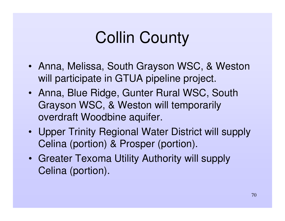- Anna, Melissa, South Grayson WSC, & Weston will participate in GTUA pipeline project.
- Anna, Blue Ridge, Gunter Rural WSC, South Grayson WSC, & Weston will temporarily overdraft Woodbine aquifer.
- Upper Trinity Regional Water District will supply Celina (portion) & Prosper (portion).
- Greater Texoma Utility Authority will supply Celina (portion).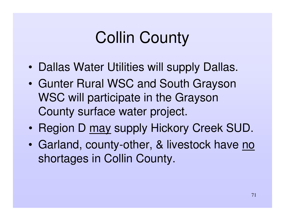- •• Dallas Water Utilities will supply Dallas.
- Gunter Rural WSC and South Grayson WSC will participate in the Grayson County surface water project.
- $\bullet$ • Region D may supply Hickory Creek SUD.
- $\bullet$ • Garland, county-other, & livestock have no shortages in Collin County.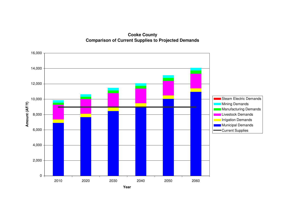**Cooke County Comparison of Current Supplies to Projected Demands**

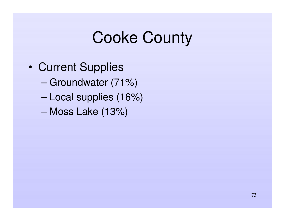- •• Current Supplies
	- –Groundwater (71%)
	- –Local supplies (16%)
	- –Moss Lake (13%)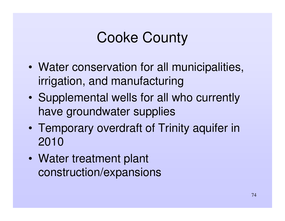- • Water conservation for all municipalities, irrigation, and manufacturing
- $\bullet$  Supplemental wells for all who currently have groundwater supplies
- $\bullet$  Temporary overdraft of Trinity aquifer in 2010
- $\bullet$  Water treatment plant construction/expansions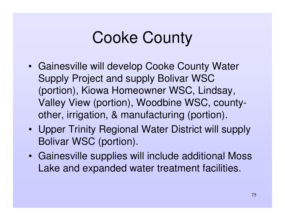- Gainesville will develop Cooke County Water Supply Project and supply Bolivar WSC (portion), Kiowa Homeowner WSC, Lindsay, Valley View (portion), Woodbine WSC, countyother, irrigation, & manufacturing (portion).
- Upper Trinity Regional Water District will supply Bolivar WSC (portion).
- Gainesville supplies will include additional Moss Lake and expanded water treatment facilities.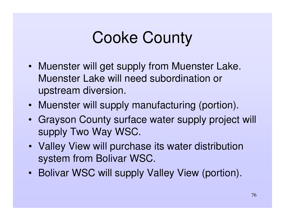- Muenster will get supply from Muenster Lake. Muenster Lake will need subordination or upstream diversion.
- Muenster will supply manufacturing (portion).
- Grayson County surface water supply project will supply Two Way WSC.
- Valley View will purchase its water distribution system from Bolivar WSC.
- Bolivar WSC will supply Valley View (portion).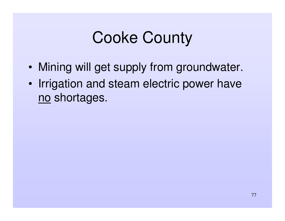- •Mining will get supply from groundwater.
- •• Irrigation and steam electric power have no shortages.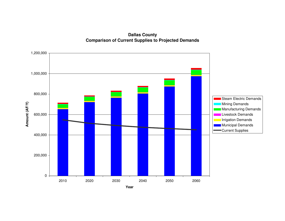**Dallas County Comparison of Current Supplies to Projected Demands**

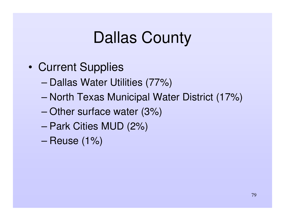- •• Current Supplies
	- –– Dallas Water Utilities (77%)
	- –– North Texas Municipal Water District (17%)
	- –Other surface water (3%)
	- Park Cities MUD (2%)
	- –Reuse (1%)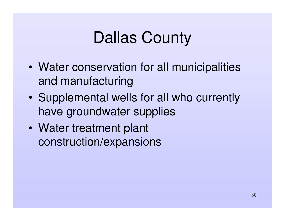- • Water conservation for all municipalities and manufacturing
- $\bullet$  Supplemental wells for all who currently have groundwater supplies
- $\bullet$  Water treatment plant construction/expansions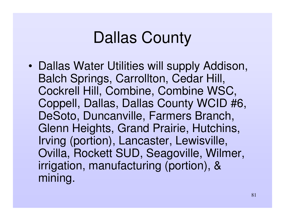•• Dallas Water Utilities will supply Addison, Balch Springs, Carrollton, Cedar Hill, Cockrell Hill, Combine, Combine WSC, Coppell, Dallas, Dallas County WCID #6, DeSoto, Duncanville, Farmers Branch, Glenn Heights, Grand Prairie, Hutchins, Irving (portion), Lancaster, Lewisville, Ovilla, Rockett SUD, Seagoville, Wilmer, irrigation, manufacturing (portion), & minin g.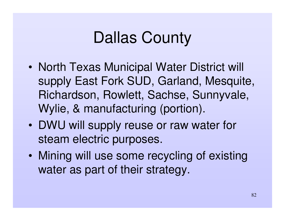- •• North Texas Municipal Water District will supply East Fork SUD, Garland, Mesquite, Richardson, Rowlett, Sachse, Sunnyvale, Wylie, & manufacturing (portion).
- DWU will supply reuse or raw water for steam electric purposes.
- $\bullet$  Mining will use some recycling of existing water as part of their strategy.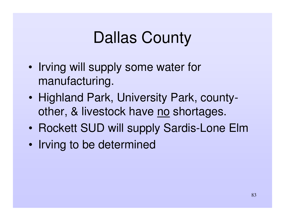- •• Irving will supply some water for manufacturing.
- $\bullet$ • Highland Park, University Park, countyother, & livestock have no shortages.
- Rockett SUD will supply Sardis-Lone Elm
- $\bullet$ • Irving to be determined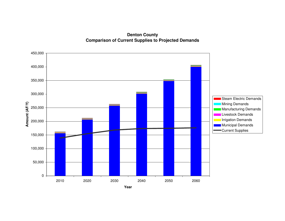**Denton County Comparison of Current Supplies to Projected Demands**

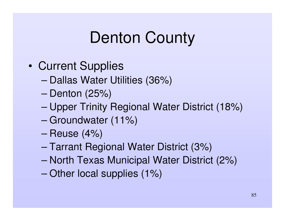- •• Current Supplies
	- –Dallas Water Utilities (36%)
	- –Denton (25%)
	- –Upper Trinity Regional Water District (18%)
	- –Groundwater (11%)
	- –Reuse (4%)
	- –Tarrant Regional Water District (3%)
	- –– North Texas Municipal Water District (2%)
	- –Other local supplies (1%)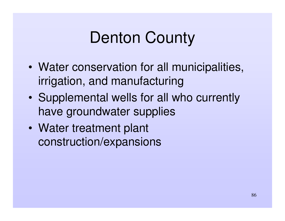- • Water conservation for all municipalities, irrigation, and manufacturing
- $\bullet$  Supplemental wells for all who currently have groundwater supplies
- $\bullet$  Water treatment plant construction/expansions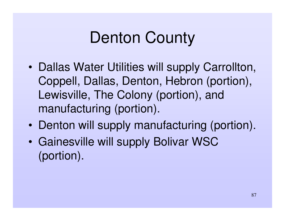- • Dallas Water Utilities will supply Carrollton, Coppell, Dallas, Denton, Hebron (portion), Lewisville, The Colony (portion), and manufacturing (portion).
- $\bullet$ • Denton will supply manufacturing (portion).
- • Gainesville will supply Bolivar WSC (portion).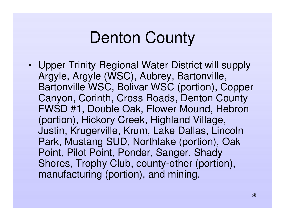• Upper Trinity Regional Water District will supply Argyle, Argyle (WSC), Aubrey, Bartonville, Bartonville WSC, Bolivar WSC (portion), Copper Canyon, Corinth, Cross Roads, Denton County FWSD #1, Double Oak, Flower Mound, Hebron (portion), Hickory Creek, Highland Village, Justin, Krugerville, Krum, Lake Dallas, Lincoln Park, Mustang SUD, Northlake (portion), Oak Point, Pilot Point, Ponder, Sanger, Shady Shores, Trophy Club, county--other (portion), manufacturing (portion), and mining.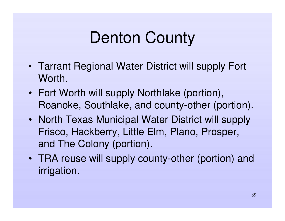- Tarrant Regional Water District will supply Fort Worth.
- Fort Worth will supply Northlake (portion), Roanoke, Southlake, and county-other (portion).
- North Texas Municipal Water District will supply Frisco, Hackberry, Little Elm, Plano, Prosper, and The Colony (portion).
- TRA reuse will supply county-other (portion) and irrigation.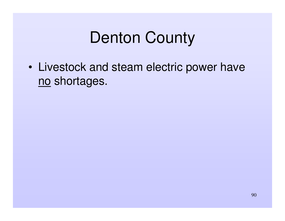• Livestock and steam electric power have no shortages.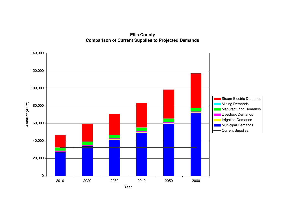**Ellis County Comparison of Current Supplies to Projected Demands**

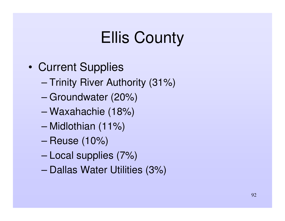- •• Current Supplies
	- –— Trinity River Authority (31%)
	- –Groundwater (20%)
	- –Waxahachie (18%)
	- –Midlothian (11%)
	- –Reuse (10%)
	- –Local supplies (7%)
	- –– Dallas Water Utilities (3%)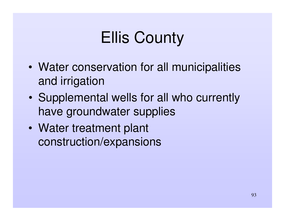- • Water conservation for all municipalities and irrigation
- $\bullet$  Supplemental wells for all who currently have groundwater supplies
- $\bullet$  Water treatment plant construction/expansions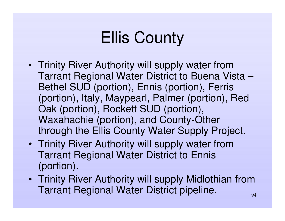- Trinity River Authority will supply water from Tarrant Regional Water District to Buena Vista – Bethel SUD (portion), Ennis (portion), Ferris (portion), Italy, Maypearl, Palmer (portion), Red Oak (portion), Rockett SUD (portion), Waxahachie (portion), and County-Other through the Ellis County Water Supply Project.
- Trinity River Authority will supply water from Tarrant Regional Water District to Ennis (portion).
- Trinity River Authority will supply Midlothian from Tarrant Regional Water District pipeline.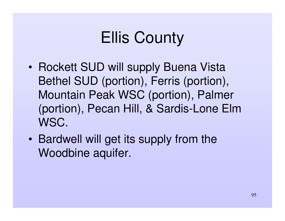- Rockett SUD will supply Buena Vista Bethel SUD (portion), Ferris (portion), Mountain Peak WSC (portion), Palmer (portion), Pecan Hill, & Sardis-Lone Elm WSC.
- • Bardwell will get its supply from the Woodbine aquifer.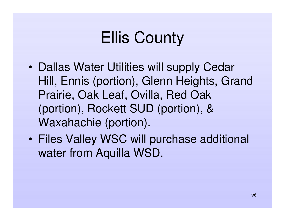- •• Dallas Water Utilities will supply Cedar Hill, Ennis (portion), Glenn Heights, Grand Prairie, Oak Leaf, Ovilla, Red Oak (portion), Rockett SUD (portion), & Waxahachie (portion).
- • Files Valley WSC will purchase additional water from Aquilla WSD.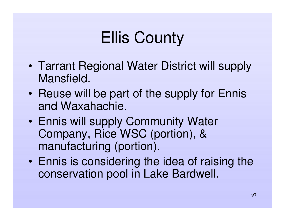- • Tarrant Regional Water District will supply Mansfield.
- $\bullet$ • Reuse will be part of the supply for Ennis and Waxahachie.
- • Ennis will supply Community Water Company, Rice WSC (portion), & manufacturing (portion).
- $\bullet$  Ennis is considering the idea of raising the conservation pool in Lake Bardwell.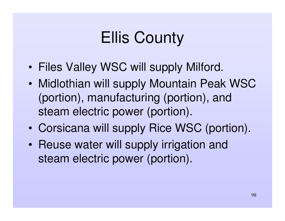- •Files Valley WSC will supply Milford.
- • Midlothian will supply Mountain Peak WSC (portion), manufacturing (portion), and steam electric power (portion).
- $\bullet$ Corsicana will supply Rice WSC (portion).
- $\bullet$ • Reuse water will supply irrigation and steam electric power (portion).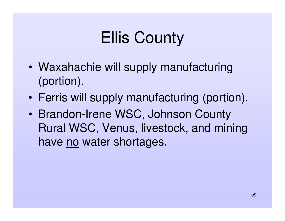- • Waxahachie will supply manufacturing (portion).
- $\bullet$ Ferris will supply manufacturing (portion).
- • Brandon-Irene WSC, Johnson County Rural WSC, Venus, livestock, and mining have no water shortages.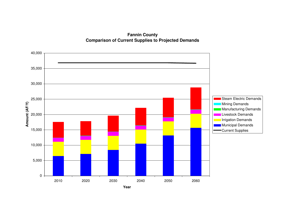**Fannin County Comparison of Current Supplies to Projected Demands**

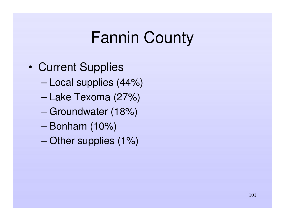- •• Current Supplies
	- –Local supplies (44%)
	- –Lake Texoma (27%)
	- –Groundwater (18%)
	- Bonham (10%)
	- –Other supplies (1%)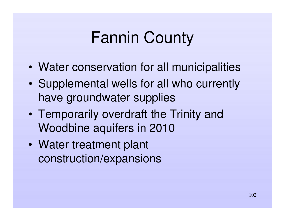- •Water conservation for all municipalities
- • Supplemental wells for all who currently have groundwater supplies
- • Temporarily overdraft the Trinity and Woodbine aquifers in 2010
- $\bullet$  Water treatment plant construction/expansions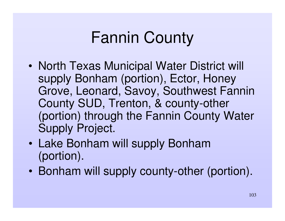- •• North Texas Municipal Water District will supply Bonham (portion), Ector, Honey Grove, Leonard, Savoy, Southwest Fannin County SUD, Trenton, & county-other (portion) through the Fannin County Water Supply Project.
- Lake Bonham will supply Bonham (portion).
- Bonham will supply county-other (portion).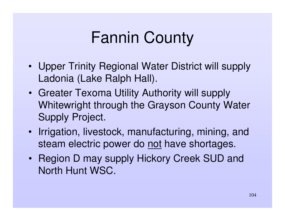- Upper Trinity Regional Water District will supply Ladonia (Lake Ralph Hall).
- Greater Texoma Utility Authority will supply Whitewright through the Grayson County Water Supply Project.
- Irrigation, livestock, manufacturing, mining, and steam electric power do <u>not</u> have shortages.
- Region D may supply Hickory Creek SUD and North Hunt WSC.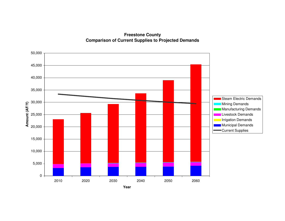**Freestone County Comparison of Current Supplies to Projected Demands**

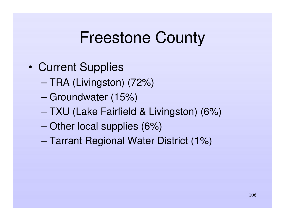#### Freestone County

- •• Current Supplies
	- TRA (Livingston) (72%)
	- –Groundwater (15%)
	- TXU (Lake Fairfield & Livingston) (6%)
	- –Other local supplies (6%)
	- –Tarrant Regional Water District (1%)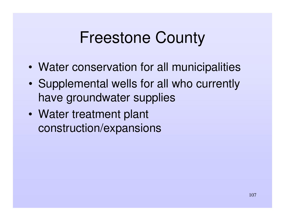### Freestone County

- •Water conservation for all municipalities
- • Supplemental wells for all who currently have groundwater supplies
- • Water treatment plant construction/expansions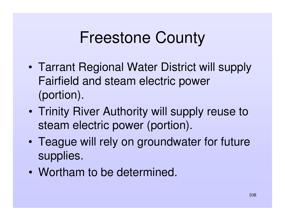### Freestone County

- • Tarrant Regional Water District will supply Fairfield and steam electric power (portion).
- • Trinity River Authority will supply reuse to steam electric power (portion).
- • Teague will rely on groundwater for future supplies.
- Wortham to be determined.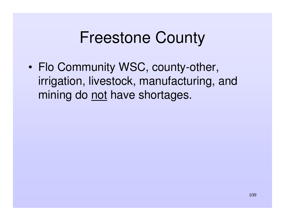#### Freestone County

• Flo Community WSC, county-other, irrigation, livestock, manufacturing, and mining do not have shortages.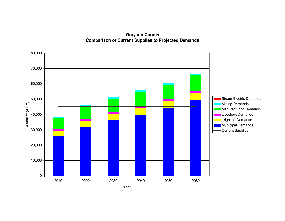**Grayson County Comparison of Current Supplies to Projected Demands**

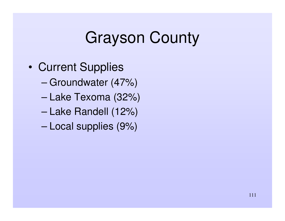- •• Current Supplies
	- –Groundwater (47%)
	- –Lake Texoma (32%)
	- –Lake Randell (12%)
	- –Local supplies (9%)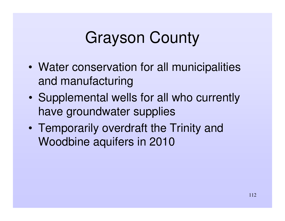- • Water conservation for all municipalities and manufacturing
- $\bullet$  Supplemental wells for all who currently have groundwater supplies
- $\bullet$  Temporarily overdraft the Trinity and Woodbine aquifers in 2010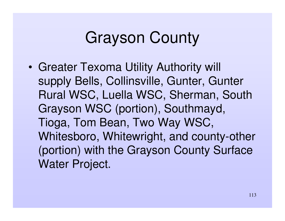• Greater Texoma Utility Authority will supply Bells, Collinsville, Gunter, Gunter Rural WSC, Luella WSC, Sherman, South Grayson WSC (portion), Southmayd, Tioga, Tom Bean, Two Way WSC, Whitesboro, Whitewright, and county-other (portion) with the Grayson County Surface Water Project.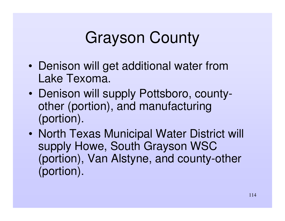- • Denison will get additional water from Lake Texoma.
- $\bullet$  Denison will supply Pottsboro, countyother (portion), and manufacturing (portion).
- •• North Texas Municipal Water District will supply Howe, South Grayson WSC (portion), Van Alstyne, and county-other (portion).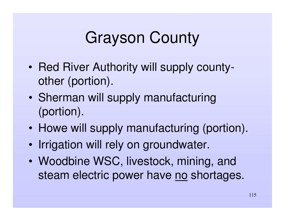- •• Red River Authority will supply countyother (portion).
- $\bullet$ • Sherman will supply manufacturing (portion).
- $\bullet$ • Howe will supply manufacturing (portion).
- $\bullet$ • Irrigation will rely on groundwater.
- • Woodbine WSC, livestock, mining, and steam electric power have <u>no</u> shortages.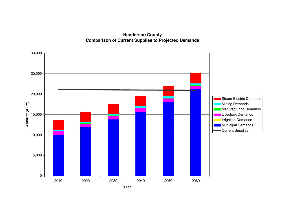**Henderson County Comparison of Current Supplies to Projected Demands**

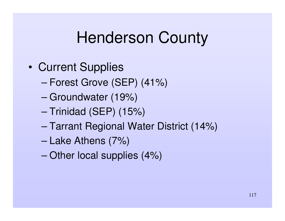- •• Current Supplies
	- –Forest Grove (SEP) (41%)
	- –Groundwater (19%)
	- –– Trinidad (SEP) (15%)
	- –Tarrant Regional Water District (14%)
	- –Lake Athens (7%)
	- –Other local supplies (4%)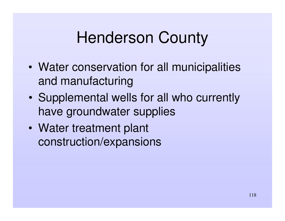- • Water conservation for all municipalities and manufacturing
- $\bullet$  Supplemental wells for all who currently have groundwater supplies
- $\bullet$  Water treatment plant construction/expansions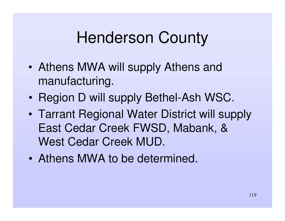- • Athens MWA will supply Athens and manufacturing.
- $\bullet$ • Region D will supply Bethel-Ash WSC.
- • Tarrant Regional Water District will supply East Cedar Creek FWSD, Mabank, & West Cedar Creek MUD.
- Athens MWA to be determined.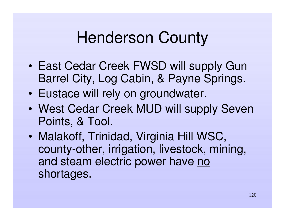- East Cedar Creek FWSD will supply Gun Barrel City, Log Cabin, & Payne Springs.
- $\bullet$ Eustace will rely on groundwater.
- West Cedar Creek MUD will supply Seven Points, & Tool.
- $\bullet$  Malakoff, Trinidad, Virginia Hill WSC, county-other, irrigation, livestock, mining, and steam electric power have <u>no</u> shortages.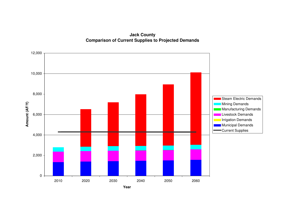**Jack County Comparison of Current Supplies to Projected Demands**

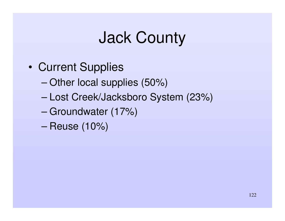### Jack County

- •• Current Supplies
	- –Other local supplies (50%)
	- –Lost Creek/Jacksboro System (23%)
	- –Groundwater (17%)
	- –Reuse (10%)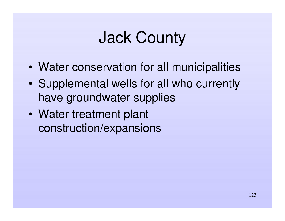# Jack County

- •Water conservation for all municipalities
- • Supplemental wells for all who currently have groundwater supplies
- • Water treatment plant construction/expansions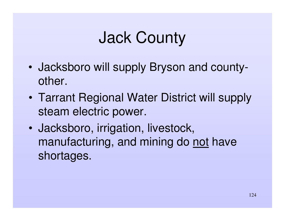# Jack County

- • Jacksboro will supply Bryson and countyother.
- $\bullet$  Tarrant Regional Water District will supply steam electric power.
- $\bullet$  Jacksboro, irrigation, livestock, manufacturing, and mining do not have shortages.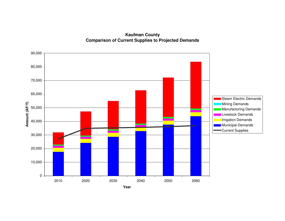**Kaufman County Comparison of Current Supplies to Projected Demands**

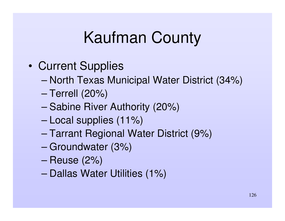- •• Current Supplies
	- –– North Texas Municipal Water District (34%)
	- –Terrell (20%)
	- –– Sabine River Authority (20%)
	- –Local supplies (11%)
	- –Tarrant Regional Water District (9%)
	- –Groundwater (3%)
	- –Reuse (2%)
	- –– Dallas Water Utilities (1%)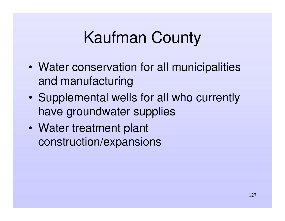- • Water conservation for all municipalities and manufacturing
- $\bullet$  Supplemental wells for all who currently have groundwater supplies
- $\bullet$  Water treatment plant construction/expansions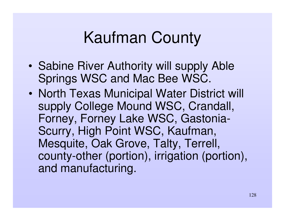- •• Sabine River Authority will supply Able Springs WSC and Mac Bee WSC.
- $\bullet$ • North Texas Municipal Water District will supply College Mound WSC, Crandall, Forney, Forney Lake WSC, Gastonia-Scurry, High Point WSC, Kaufman, Mesquite, Oak Grove, Talty, Terrell, county-other (portion), irrigation (portion), and manufacturing.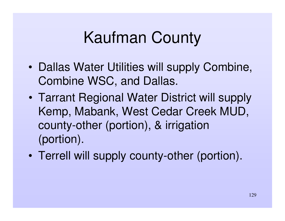- •• Dallas Water Utilities will supply Combine, Combine WSC, and Dallas.
- $\bullet$  Tarrant Regional Water District will supply Kemp, Mabank, West Cedar Creek MUD, county-other (portion), & irrigation (portion).
- $\bullet$ Terrell will supply county-other (portion).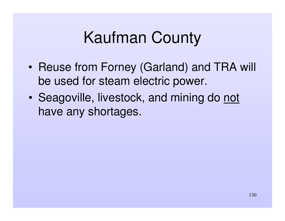- Reuse from Forney (Garland) and TRA will be used for steam electric power.
- $\bullet$ • Seagoville, livestock, and mining do not have any shortages.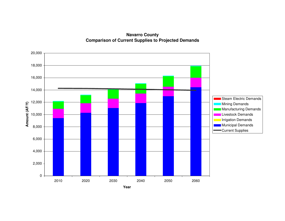**Navarro County Comparison of Current Supplies to Projected Demands**

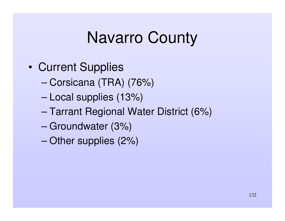- •• Current Supplies
	- –Corsicana (TRA) (76%)
	- –Local supplies (13%)
	- –Tarrant Regional Water District (6%)
	- –Groundwater (3%)
	- –Other supplies (2%)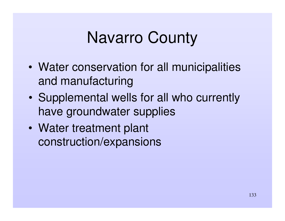- • Water conservation for all municipalities and manufacturing
- $\bullet$  Supplemental wells for all who currently have groundwater supplies
- $\bullet$  Water treatment plant construction/expansions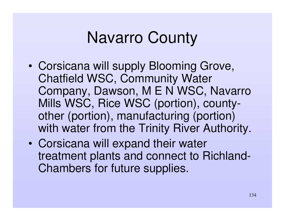- •• Corsicana will supply Blooming Grove, Chatfield WSC, Community Water Company, Dawson, M E N WSC, Navarro Mills WSC, Rice WSC (portion), countyother (portion), manufacturing (portion) with water from the Trinity River Authority.
- $\bullet$ • Corsicana will expand their water treatment plants and connect to Richland -Chambers for future supplies.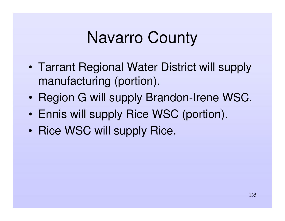- • Tarrant Regional Water District will supply manufacturing (portion).
- $\bullet$ • Region G will supply Brandon-Irene WSC.
- •Ennis will supply Rice WSC (portion).
- Rice WSC will supply Rice.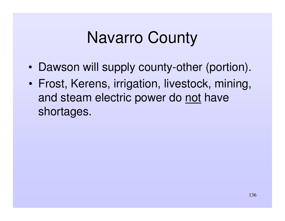- •Dawson will supply county-other (portion).
- • Frost, Kerens, irrigation, livestock, mining, and steam electric power do <u>not</u> have shortages.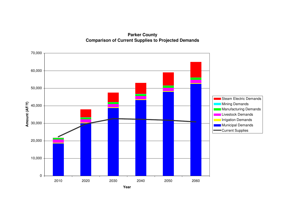**Parker County Comparison of Current Supplies to Projected Demands**

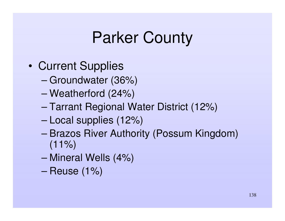- •• Current Supplies
	- –Groundwater (36%)
	- –Weatherford (24%)
	- –Tarrant Regional Water District (12%)
	- –Local supplies (12%)
	- – Brazos River Authority (Possum Kingdom)  $(11\%)$
	- –Mineral Wells (4%)
	- –Reuse (1%)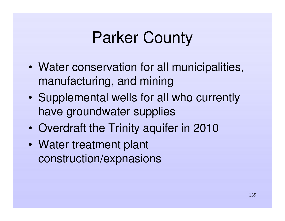- • Water conservation for all municipalities, manufacturing, and mining
- $\bullet$  Supplemental wells for all who currently have groundwater supplies
- $\bullet$ Overdraft the Trinity aquifer in 2010
- $\bullet$  Water treatment plant construction/expnasions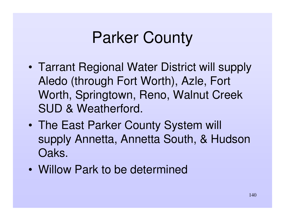- • Tarrant Regional Water District will supply Aledo (through Fort Worth), Azle, Fort Worth, Springtown, Reno, Walnut Creek SUD & Weatherford.
- $\bullet$  The East Parker County System will supply Annetta, Annetta South, & Hudson Oaks.
- Willow Park to be determined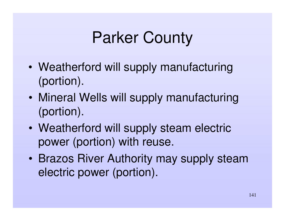- • Weatherford will supply manufacturing (portion).
- $\bullet$  Mineral Wells will supply manufacturing (portion).
- $\bullet$  Weatherford will supply steam electric power (portion) with reuse.
- $\bullet$  Brazos River Authority may supply steam electric power (portion).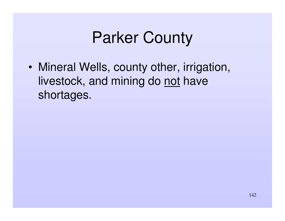• Mineral Wells, county other, irrigation, livestock, and mining do not have shortages.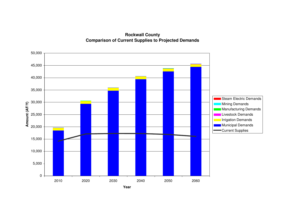**Rockwall County Comparison of Current Supplies to Projected Demands**

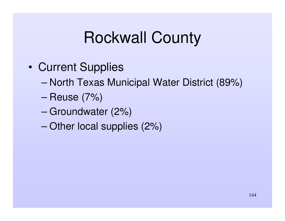#### Rockwall County

- •• Current Supplies
	- –– North Texas Municipal Water District (89%)
	- –Reuse (7%)
	- –Groundwater (2%)
	- –Other local supplies (2%)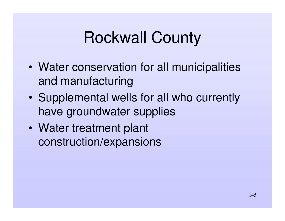# Rockwall County

- • Water conservation for all municipalities and manufacturing
- $\bullet$  Supplemental wells for all who currently have groundwater supplies
- $\bullet$  Water treatment plant construction/expansions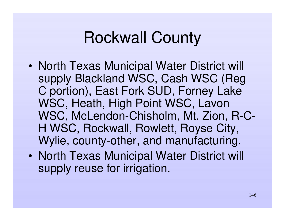## Rockwall County

- •• North Texas Municipal Water District will supply Blackland WSC, Cash WSC (Reg C portion), East Fork SUD, Forney Lake WSC, Heath, High Point WSC, Lavon WSC, McLendon-Chisholm, Mt. Zion, R-C-H WSC, Rockwall, Rowlett, Royse City, Wylie, county-other, and manufacturing.
- •• North Texas Municipal Water District will supply reuse for irrigation.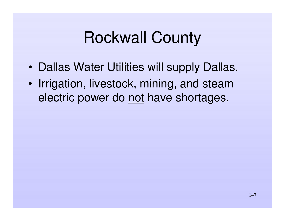## Rockwall County

- •• Dallas Water Utilities will supply Dallas.
- •• Irrigation, livestock, mining, and steam electric power do not have shortages.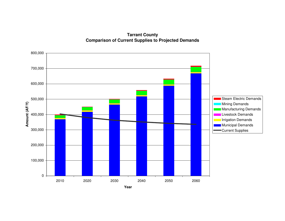**Tarrant County Comparison of Current Supplies to Projected Demands**

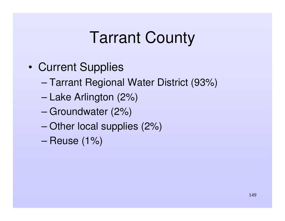- •• Current Supplies
	- –Tarrant Regional Water District (93%)
	- –Lake Arlington (2%)
	- –Groundwater (2%)
	- –Other local supplies (2%)
	- –Reuse (1%)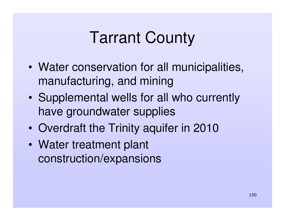- • Water conservation for all municipalities, manufacturing, and mining
- $\bullet$  Supplemental wells for all who currently have groundwater supplies
- $\bullet$ Overdraft the Trinity aquifer in 2010
- $\bullet$  Water treatment plant construction/expansions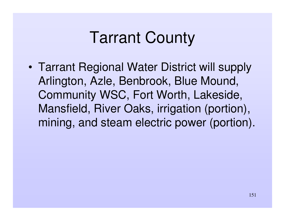• Tarrant Regional Water District will supply Arlington, Azle, Benbrook, Blue Mound, Community WSC, Fort Worth, Lakeside, Mansfield, River Oaks, irrigation (portion), mining, and steam electric power (portion).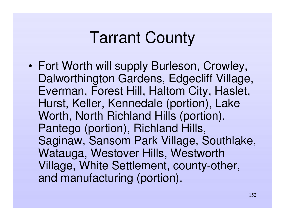•• Fort Worth will supply Burleson, Crowley, Dalworthington Gardens, Edgecliff Village, Everman, Forest Hill, Haltom City, Haslet, Hurst, Keller, Kennedale (portion), Lake Worth, North Richland Hills (portion), Pantego (portion), Richland Hills, Saginaw, Sansom Park Village, Southlake, Watauga, Westover Hills, Westworth Village, White Settlement, county--other, and manufacturing (portion).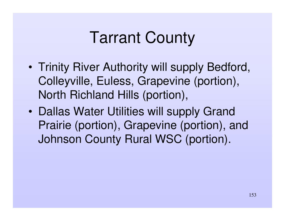- • Trinity River Authority will supply Bedford, Colleyville, Euless, Grapevine (portion), North Richland Hills (portion),
- •• Dallas Water Utilities will supply Grand Prairie (portion), Grapevine (portion), and Johnson County Rural WSC (portion).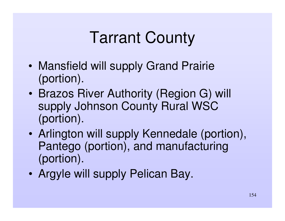- • Mansfield will supply Grand Prairie (portion).
- $\bullet$  Brazos River Authority (Region G) will supply Johnson County Rural WSC (portion).
- • Arlington will supply Kennedale (portion), Pantego (portion), and manufacturing (portion).
- •Argyle will supply Pelican Bay.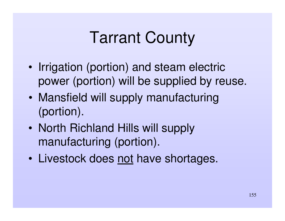- •• Irrigation (portion) and steam electric power (portion) will be supplied by reuse.
- $\bullet$  Mansfield will supply manufacturing (portion).
- $\bullet$ • North Richland Hills will supply manufacturing (portion).
- $\bullet$ • Livestock does not have shortages.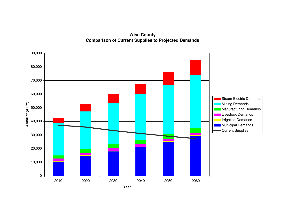**Wise County Comparison of Current Supplies to Projected Demands**

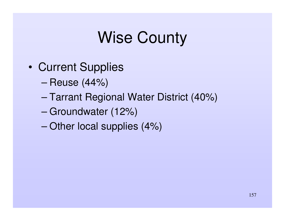- •• Current Supplies
	- –Reuse (44%)
	- –Tarrant Regional Water District (40%)
	- –Groundwater (12%)
	- –Other local supplies (4%)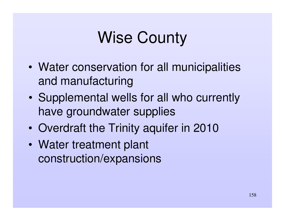- • Water conservation for all municipalities and manufacturing
- $\bullet$  Supplemental wells for all who currently have groundwater supplies
- $\bullet$ Overdraft the Trinity aquifer in 2010
- $\bullet$  Water treatment plant construction/expansions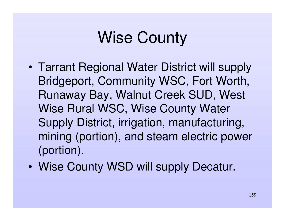- • Tarrant Regional Water District will supply Bridgeport, Community WSC, Fort Worth, Runaway Bay, Walnut Creek SUD, West Wise Rural WSC, Wise County Water Supply District, irrigation, manufacturing, mining (portion), and steam electric power (portion).
- $\bullet$ Wise County WSD will supply Decatur.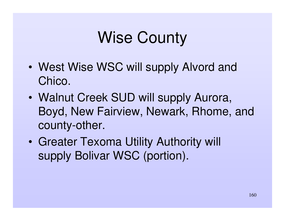- West Wise WSC will supply Alvord and Chico.
- Walnut Creek SUD will supply Aurora, Boyd, New Fairview, Newark, Rhome, and county-other.
- • Greater Texoma Utility Authority will supply Bolivar WSC (portion).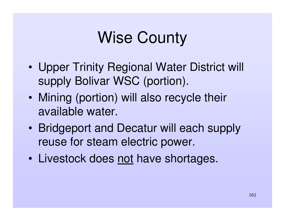- • Upper Trinity Regional Water District will supply Bolivar WSC (portion).
- $\bullet$  Mining (portion) will also recycle their available water.
- $\bullet$  Bridgeport and Decatur will each supply reuse for steam electric power.
- $\bullet$ • Livestock does not have shortages.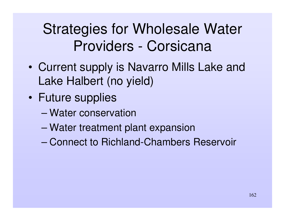### Strategies for Wholesale Water Providers - Corsicana

- • Current supply is Navarro Mills Lake and Lake Halbert (no yield)
- $\bullet$  Future supplies
	- Water conservation
	- –Water treatment plant expansion
	- Connect to Richland-Chambers Reservoir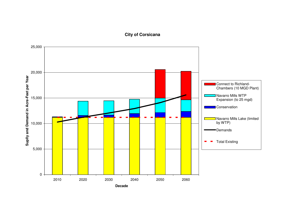#### **City of C orsic a n a**

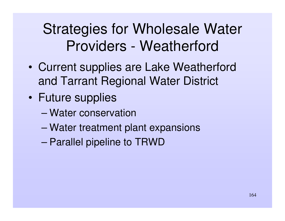### Strategies for Wholesale Water Providers - Weatherford

- • Current supplies are Lake Weatherford and Tarrant Regional Water District
- $\bullet$  Future supplies
	- Water conservation
	- –Water treatment plant expansions
	- –Parallel pipeline to TRWD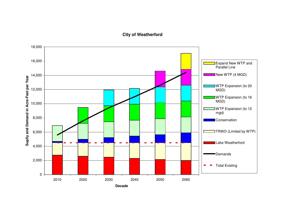#### **City of W e ath erford**

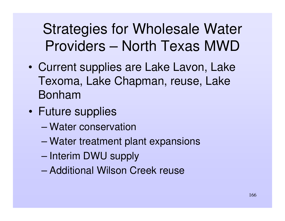### Strategies for Wholesale Water Providers – North Texas MWD

- • Current supplies are Lake Lavon, Lake Texoma, Lake Chapman, reuse, Lake Bonham
- • Future supplies
	- Water conservation
	- –Water treatment plant expansions
	- Interim DWU supply
	- Additional Wilson Creek reuse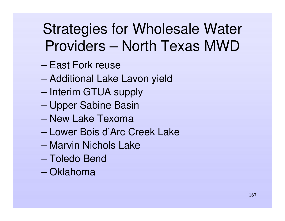### Strategies for Wholesale Water Providers – North Texas MWD

- East Fork reuse
- –Additional Lake Lavon yield
- Interim GTUA supply
- –Upper Sabine Basin
- New Lake Texoma
- Lower Bois d'Arc Creek Lake
- Marvin Nichols Lake
- Toledo Bend
- Oklahoma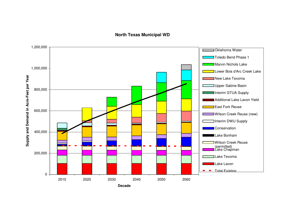#### **N orth T e x a s M u nicip al W D**

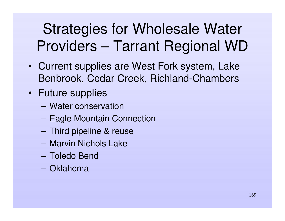### Strategies for Wholesale Water Providers – Tarrant Regional WD

- Current supplies are West Fork system, Lake Benbrook, Cedar Creek, Richland-Chambers
- Future supplies
	- Water conservation
	- –Eagle Mountain Connection
	- **However, Marketing Committee** Third pipeline & reuse
	- Marvin Nichols Lake
	- Toledo Bend
	- Oklahoma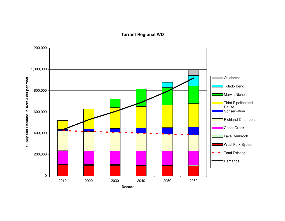#### **T arra nt R e gio n al W D**

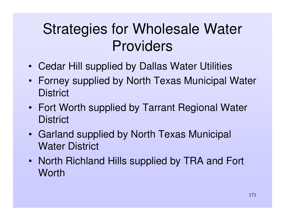- Cedar Hill supplied by Dallas Water Utilities
- Forney supplied by North Texas Municipal Water **District**
- Fort Worth supplied by Tarrant Regional Water **District**
- Garland supplied by North Texas Municipal Water District
- North Richland Hills supplied by TRA and Fort **Worth**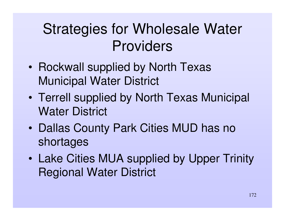- •• Rockwall supplied by North Texas Municipal Water District
- $\bullet$  Terrell supplied by North Texas Municipal Water District
- $\bullet$ • Dallas County Park Cities MUD has no shortages
- $\bullet$  Lake Cities MUA supplied by Upper Trinity Regional Water District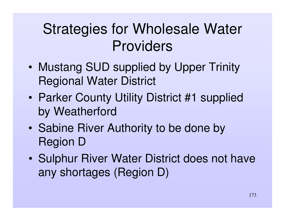- • Mustang SUD supplied by Upper Trinity Regional Water District
- $\bullet$ • Parker County Utility District #1 supplied by Weatherford
- $\bullet$ • Sabine River Authority to be done by Region D
- $\bullet$ • Sulphur River Water District does not have any shortages (Region D)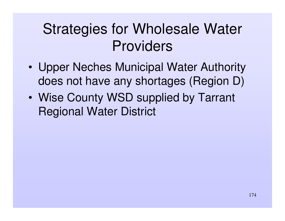- • Upper Neches Municipal Water Authority does not have any shortages (Region D)
- $\bullet$  Wise County WSD supplied by Tarrant Regional Water District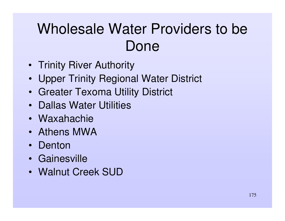### Wholesale Water Providers to be Done

- Trinity River Authority
- Upper Trinity Regional Water District
- Greater Texoma Utility District
- Dallas Water Utilities
- Waxahachie
- Athens MWA
- Denton
- Gainesville
- Walnut Creek SUD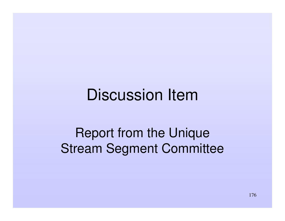### Discussion Item

### Report from the Unique Stream Segment Committee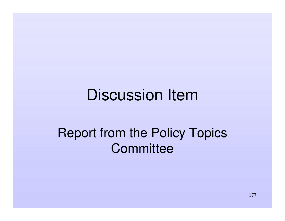### Discussion Item

### Report from the Policy Topics **Committee**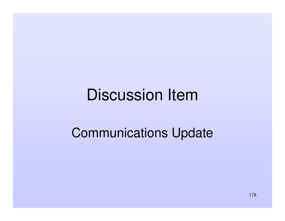### Discussion Item

### Communications Update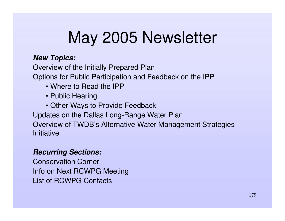# May 2005 Newsletter

### *New Topics:*

Overview of the Initially Prepared Plan Options for Public Participation and Feedback on the IPP

- Where to Read the IPP
- Public Hearing
- Other Ways to Provide Feedback

Updates on the Dallas Long-Range Water Plan Overview of TWDB's Alternative Water Management Strategies **Initiative** 

### *Recurring Sections:*

Conservation Corner Info on Next RCWPG Meeting List of RCWPG Contacts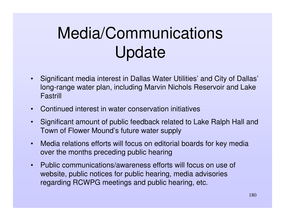# Media/Communications Update

- • Significant media interest in Dallas Water Utilities' and City of Dallas' long-range water plan, including Marvin Nichols Reservoir and Lake Fastrill
- •Continued interest in water conservation initiatives
- • Significant amount of public feedback related to Lake Ralph Hall and Town of Flower Mound's future water supply
- • Media relations efforts will focus on editorial boards for key media over the months preceding public hearing
- • Public communications/awareness efforts will focus on use of website, public notices for public hearing, media advisories regarding RCWPG meetings and public hearing, etc.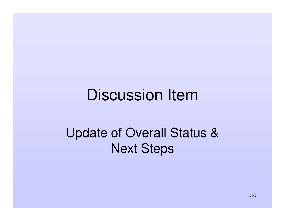#### Discussion Item

#### Update of Overall Status & Next Steps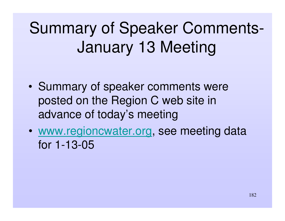## Summary of Speaker Comments-January 13 Meeting

- •• Summary of speaker comments were posted on the Region C web site in advance of today's meeting
- • www.regioncwater.org, see meeting data for 1-13-05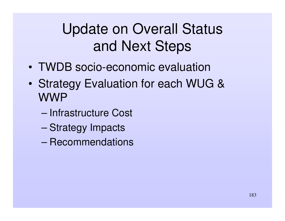#### Update on Overall Status and Next Steps

- TWDB socio-economic evaluation
- • Strategy Evaluation for each WUG & WWP
	- Infrastructure Cost
	- –Strategy Impacts
	- Recommendations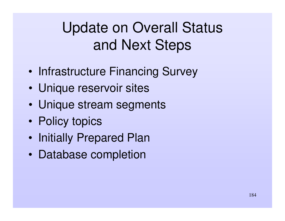#### Update on Overall Status and Next Steps

- •• Infrastructure Financing Survey
- •Unique reservoir sites
- •Unique stream segments
- •• Policy topics
- $\bullet$ • Initially Prepared Plan
- •• Database completion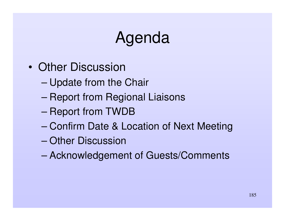## Agenda

- Other Discussion
	- –Update from the Chair
	- –– Report from Regional Liaisons
	- –– Report from TWDB
	- Confirm Date & Location of Next Meeting
	- Other Discussion
	- –Acknowledgement of Guests/Comments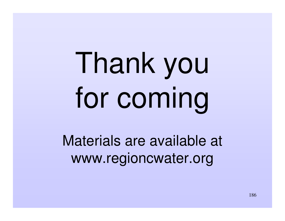# Thank you for coming

Materials are available at www.regioncwater.org